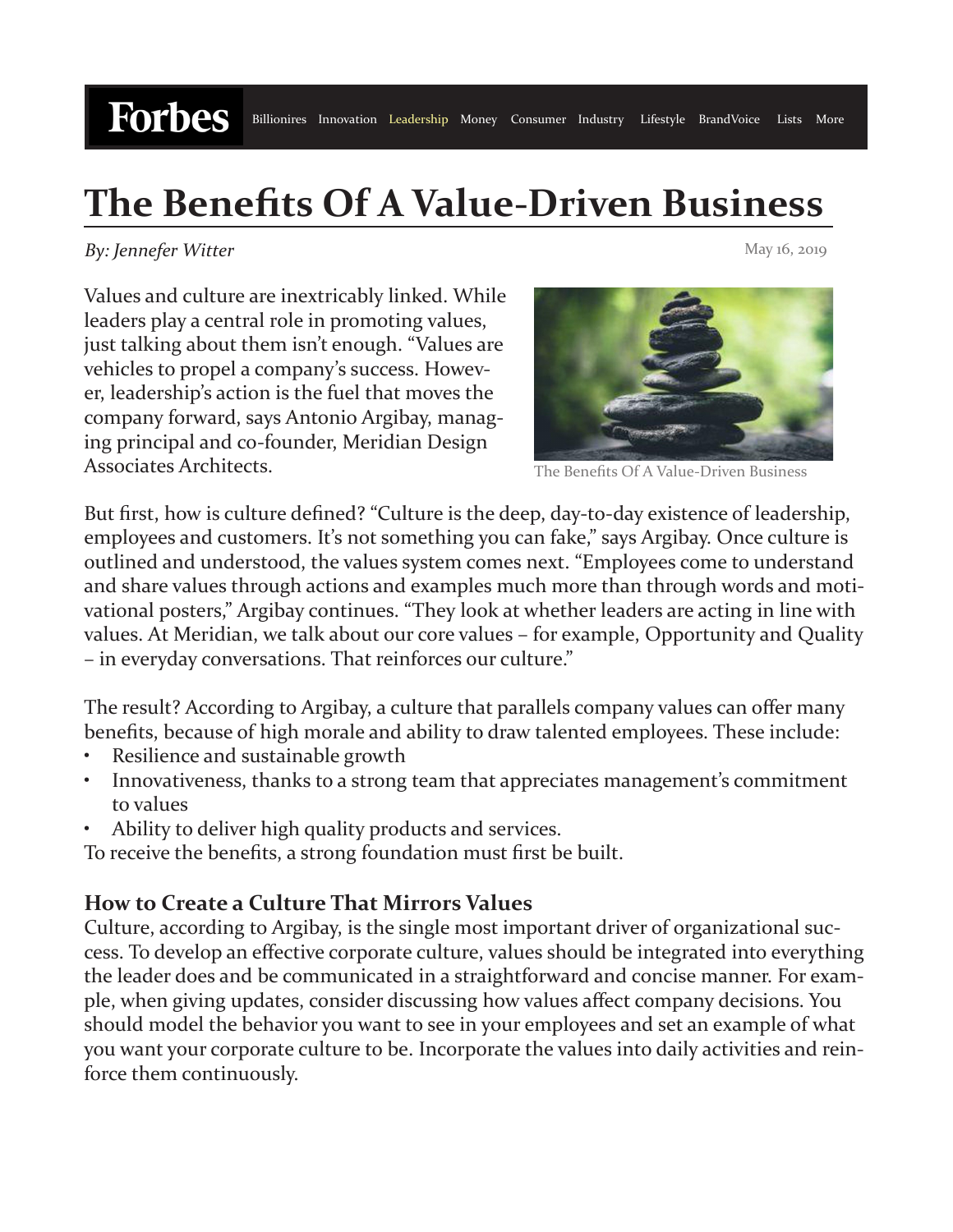**Forbes** 

## **The Benefits Of A Value-Driven Business**

## **By: Jennefer Witter May 16, 2019 May 16, 2019**

Values and culture are inextricably linked. While leaders play a central role in promoting values, just talking about them isn't enough. "Values are vehicles to propel a company's success. However, leadership's action is the fuel that moves the company forward, says Antonio Argibay, managing principal and co-founder, Meridian Design Associates Architects.



The Benefits Of A Value-Driven Business

But first, how is culture defined? "Culture is the deep, day-to-day existence of leadership, employees and customers. It's not something you can fake," says Argibay. Once culture is outlined and understood, the values system comes next. "Employees come to understand and share values through actions and examples much more than through words and motivational posters," Argibay continues. "They look at whether leaders are acting in line with values. At Meridian, we talk about our core values – for example, Opportunity and Quality – in everyday conversations. That reinforces our culture."

The result? According to Argibay, a culture that parallels company values can offer many benefits, because of high morale and ability to draw talented employees. These include:

- Resilience and sustainable growth
- Innovativeness, thanks to a strong team that appreciates management's commitment to values
- Ability to deliver high quality products and services.

To receive the benefits, a strong foundation must first be built.

## **How to Create a Culture That Mirrors Values**

Culture, according to Argibay, is the single most important driver of organizational success. To develop an effective corporate culture, values should be integrated into everything the leader does and be communicated in a straightforward and concise manner. For example, when giving updates, consider discussing how values affect company decisions. You should model the behavior you want to see in your employees and set an example of what you want your corporate culture to be. Incorporate the values into daily activities and reinforce them continuously.